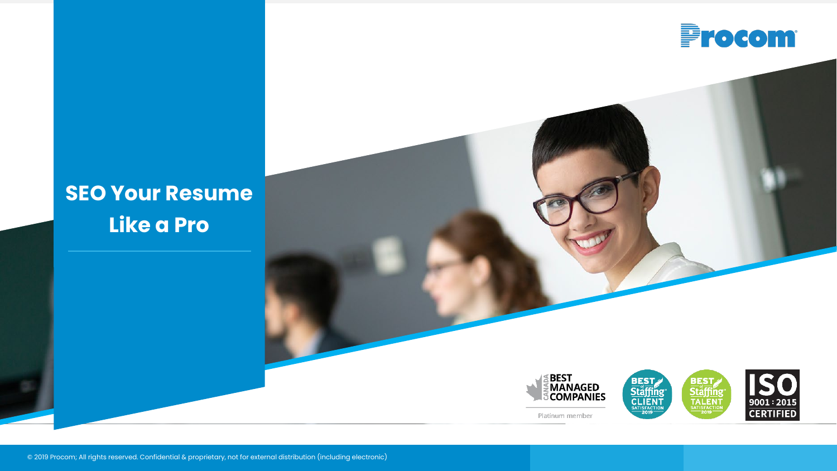

# **SEO Your Resume Like a Pro**

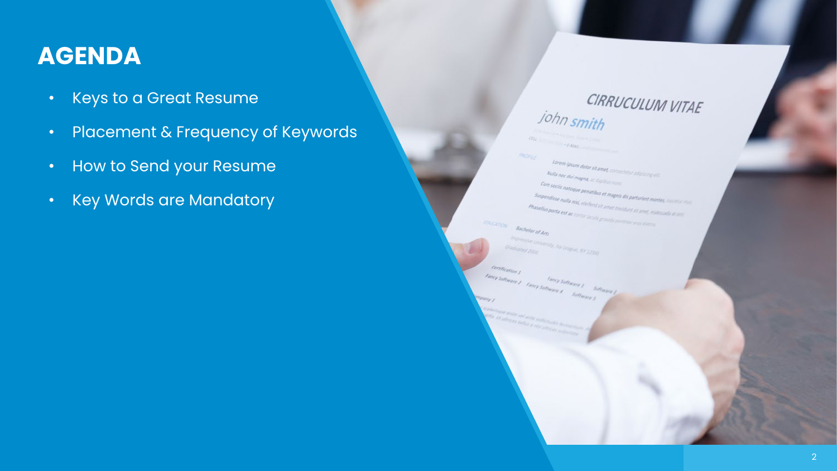## **AGENDA**

- Keys to a Great Resume
- Placement & Frequency of Keywords
- How to Send your Resume
- Key Words are Mandatory

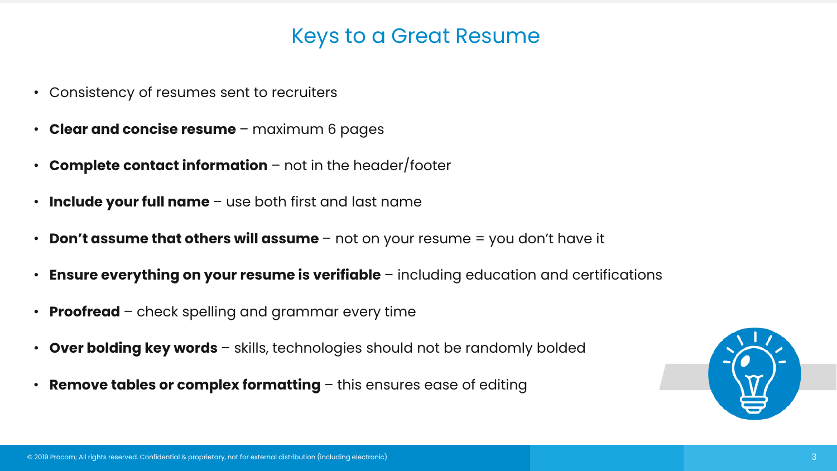## Keys to a Great Resume

- Consistency of resumes sent to recruiters
- **Clear and concise resume**  maximum 6 pages
- **Complete contact information**  not in the header/footer
- **Include your full name**  use both first and last name
- **Don't assume that others will assume**  not on your resume = you don't have it
- **Ensure everything on your resume is verifiable**  including education and certifications
- **Proofread**  check spelling and grammar every time
- **Over bolding key words**  skills, technologies should not be randomly bolded
- **Remove tables or complex formatting**  this ensures ease of editing

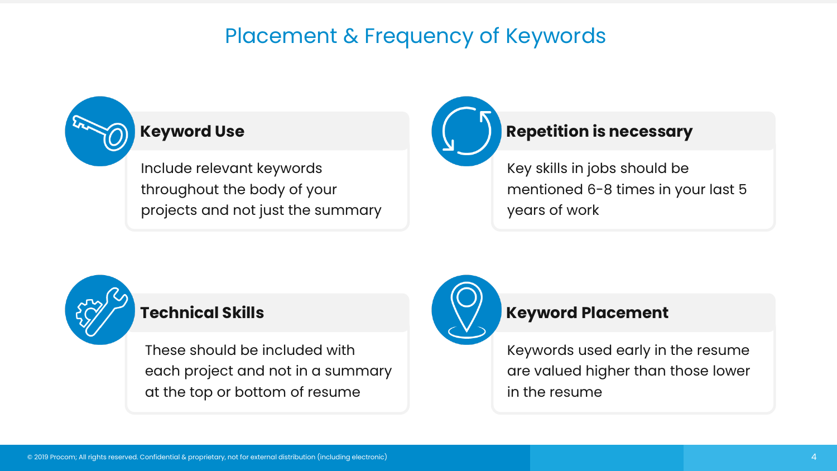## Placement & Frequency of Keywords



Include relevant keywords throughout the body of your projects and not just the summary



Key skills in jobs should be mentioned 6-8 times in your last 5 years of work



### **Technical Skills**

These should be included with each project and not in a summary at the top or bottom of resume



### **Keyword Placement**

Keywords used early in the resume are valued higher than those lower in the resume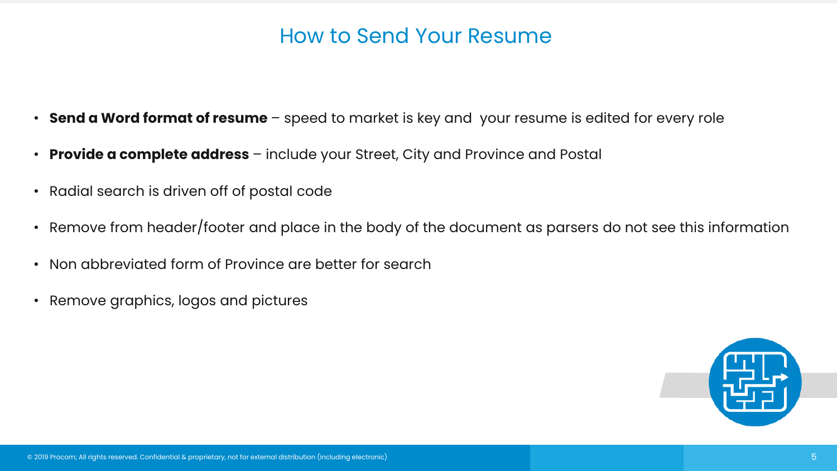## How to Send Your Resume

- **Send a Word format of resume** speed to market is key and your resume is edited for every role
- **Provide a complete address** include your Street, City and Province and Postal
- Radial search is driven off of postal code
- Remove from header/footer and place in the body of the document as parsers do not see this information
- Non abbreviated form of Province are better for search
- Remove graphics, logos and pictures

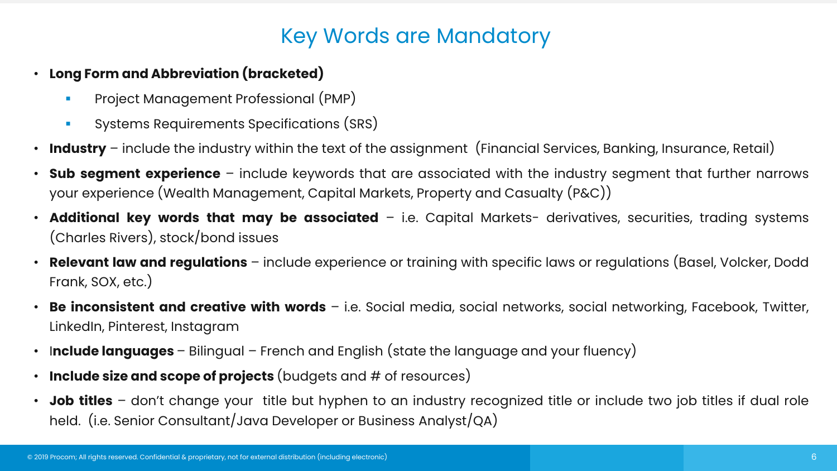## Key Words are Mandatory

- **Long Form and Abbreviation (bracketed)**
	- Project Management Professional (PMP)
	- Systems Requirements Specifications (SRS)
- **Industry** include the industry within the text of the assignment (Financial Services, Banking, Insurance, Retail)
- **Sub segment experience** include keywords that are associated with the industry segment that further narrows your experience (Wealth Management, Capital Markets, Property and Casualty (P&C))
- **Additional key words that may be associated** i.e. Capital Markets- derivatives, securities, trading systems (Charles Rivers), stock/bond issues
- **Relevant law and regulations** include experience or training with specific laws or regulations (Basel, Volcker, Dodd Frank, SOX, etc.)
- **Be inconsistent and creative with words** i.e. Social media, social networks, social networking, Facebook, Twitter, LinkedIn, Pinterest, Instagram
- I**nclude languages** Bilingual French and English (state the language and your fluency)
- **Include size and scope of projects** (budgets and # of resources)
- **Job titles** don't change your title but hyphen to an industry recognized title or include two job titles if dual role held. (i.e. Senior Consultant/Java Developer or Business Analyst/QA)